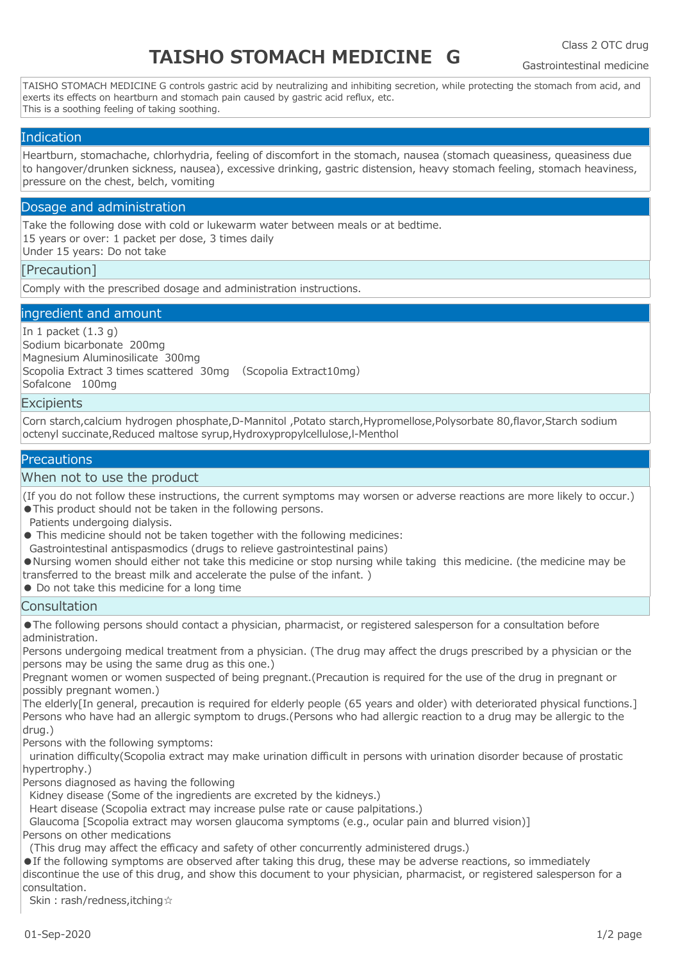# **TAISHO STOMACH MEDICINE G**

Class 2 OTC drug

Gastrointestinal medicine

TAISHO STOMACH MEDICINE G controls gastric acid by neutralizing and inhibiting secretion, while protecting the stomach from acid, and exerts its effects on heartburn and stomach pain caused by gastric acid reflux, etc. This is a soothing feeling of taking soothing.

# **Indication**

Heartburn, stomachache, chlorhydria, feeling of discomfort in the stomach, nausea (stomach queasiness, queasiness due to hangover/drunken sickness, nausea), excessive drinking, gastric distension, heavy stomach feeling, stomach heaviness, pressure on the chest, belch, vomiting

# Dosage and administration

Take the following dose with cold or lukewarm water between meals or at bedtime. 15 years or over: 1 packet per dose, 3 times daily Under 15 years: Do not take

# [Precaution]

Comply with the prescribed dosage and administration instructions.

# ingredient and amount

In 1 packet  $(1.3 g)$ Sodium bicarbonate 200mg Magnesium Aluminosilicate 300mg Scopolia Extract 3 times scattered 30mg (Scopolia Extract10mg) Sofalcone 100mg

# **Excipients**

Corn starch,calcium hydrogen phosphate,D-Mannitol ,Potato starch,Hypromellose,Polysorbate 80,flavor,Starch sodium octenyl succinate,Reduced maltose syrup,Hydroxypropylcellulose,l-Menthol

# **Precautions**

### When not to use the product

(If you do not follow these instructions, the current symptoms may worsen or adverse reactions are more likely to occur.) ●This product should not be taken in the following persons.

Patients undergoing dialysis.

- This medicine should not be taken together with the following medicines:
- Gastrointestinal antispasmodics (drugs to relieve gastrointestinal pains)

●Nursing women should either not take this medicine or stop nursing while taking this medicine. (the medicine may be transferred to the breast milk and accelerate the pulse of the infant. )

● Do not take this medicine for a long time

# **Consultation**

●The following persons should contact a physician, pharmacist, or registered salesperson for a consultation before administration.

Persons undergoing medical treatment from a physician. (The drug may affect the drugs prescribed by a physician or the persons may be using the same drug as this one.)

Pregnant women or women suspected of being pregnant.(Precaution is required for the use of the drug in pregnant or possibly pregnant women.)

The elderly[In general, precaution is required for elderly people (65 years and older) with deteriorated physical functions.] Persons who have had an allergic symptom to drugs.(Persons who had allergic reaction to a drug may be allergic to the drug.)

Persons with the following symptoms:

 urination difficulty(Scopolia extract may make urination difficult in persons with urination disorder because of prostatic hypertrophy.)

Persons diagnosed as having the following

Kidney disease (Some of the ingredients are excreted by the kidneys.)

Heart disease (Scopolia extract may increase pulse rate or cause palpitations.)

Glaucoma [Scopolia extract may worsen glaucoma symptoms (e.g., ocular pain and blurred vision)]

Persons on other medications

(This drug may affect the efficacy and safety of other concurrently administered drugs.)

●If the following symptoms are observed after taking this drug, these may be adverse reactions, so immediately discontinue the use of this drug, and show this document to your physician, pharmacist, or registered salesperson for a consultation.

Skin: rash/redness, itching☆